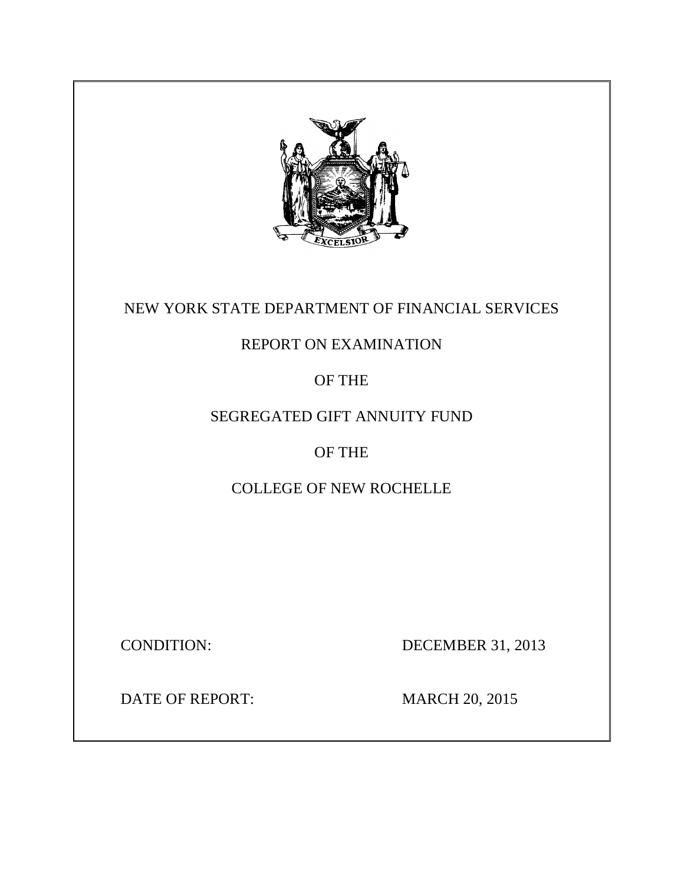

## NEW YORK STATE DEPARTMENT OF FINANCIAL SERVICES

## REPORT ON EXAMINATION

OF THE

## SEGREGATED GIFT ANNUITY FUND

## OF THE

## COLLEGE OF NEW ROCHELLE

**CONDITION:** 

DECEMBER 31, 2013

DATE OF REPORT: MARCH 20, 2015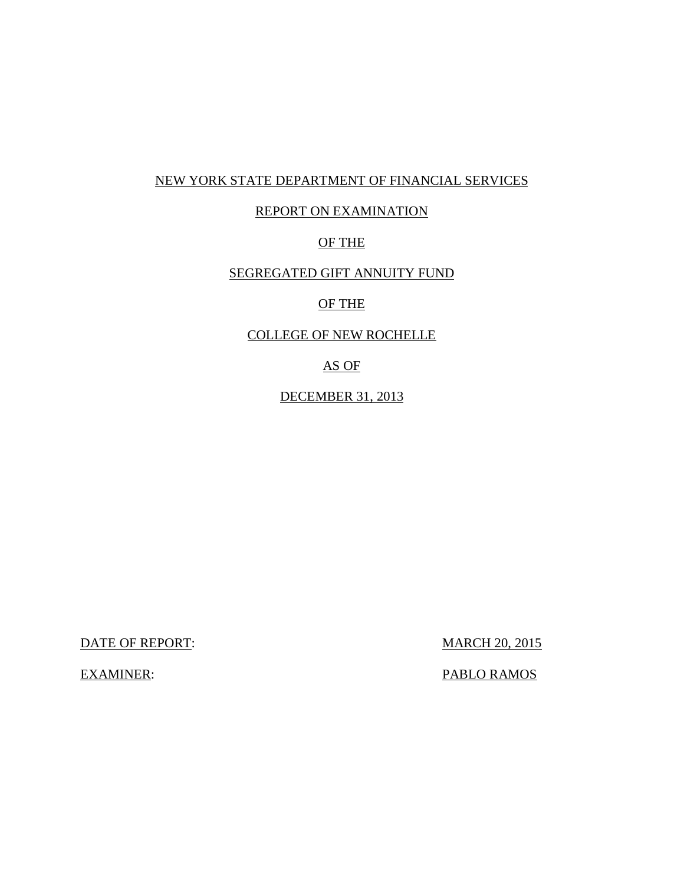#### NEW YORK STATE DEPARTMENT OF FINANCIAL SERVICES

## REPORT ON EXAMINATION

#### OF THE

#### SEGREGATED GIFT ANNUITY FUND

#### OF THE

#### COLLEGE OF NEW ROCHELLE

#### AS OF

DECEMBER 31, 2013

DATE OF REPORT: MARCH 20, 2015

**EXAMINER:** 

PABLO RAMOS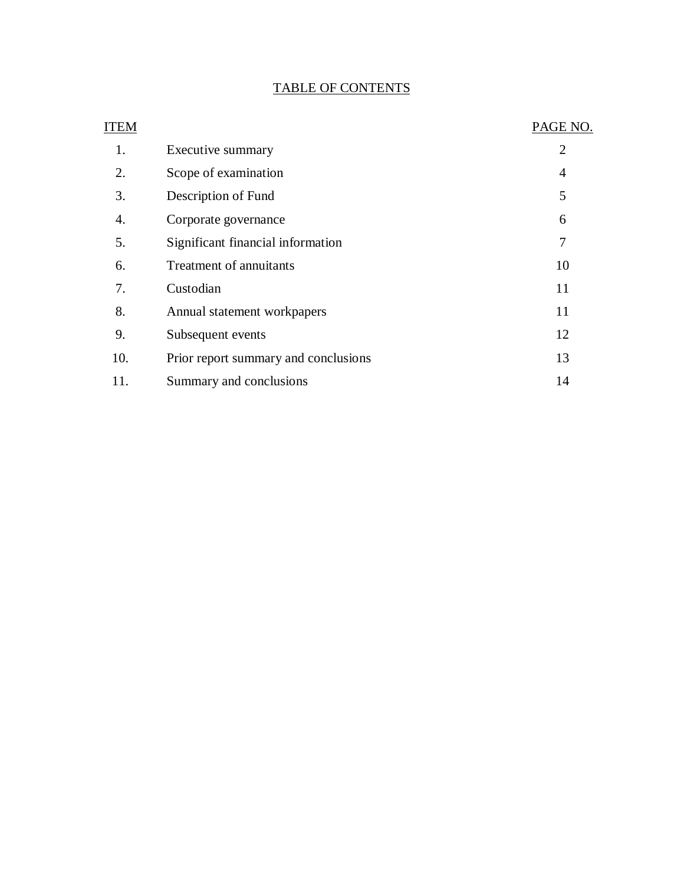#### TABLE OF CONTENTS

| ITEM |                                      | PAGE NO.       |
|------|--------------------------------------|----------------|
| 1.   | Executive summary                    | $\overline{2}$ |
| 2.   | Scope of examination                 | 4              |
| 3.   | Description of Fund                  | 5              |
| 4.   | Corporate governance                 | 6              |
| 5.   | Significant financial information    | $\overline{7}$ |
| 6.   | Treatment of annuitants              | 10             |
| 7.   | Custodian                            | 11             |
| 8.   | Annual statement workpapers          | 11             |
| 9.   | Subsequent events                    | 12             |
| 10.  | Prior report summary and conclusions | 13             |
| 11.  | Summary and conclusions              | 14             |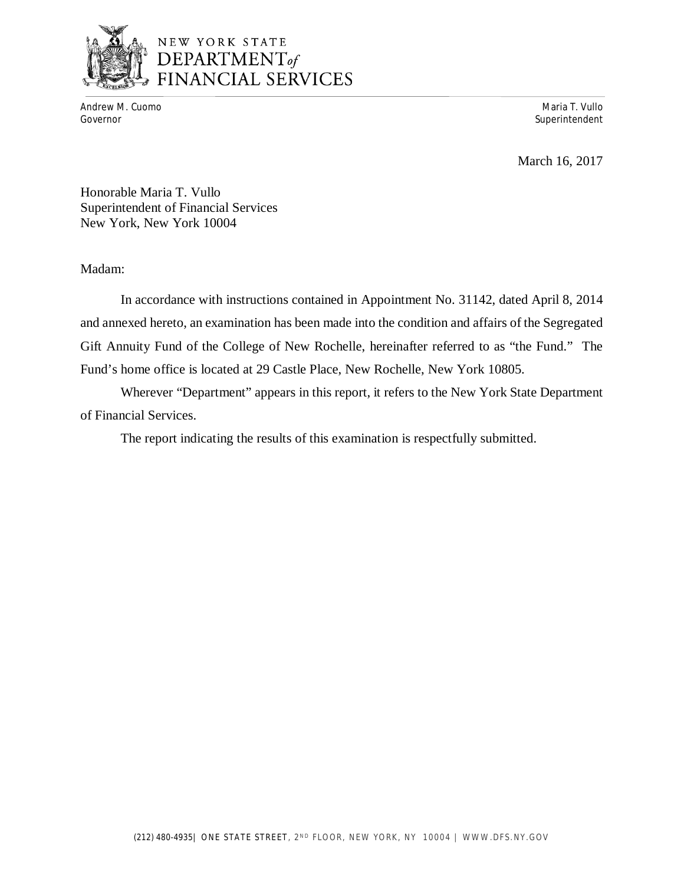

# NEW YORK STATE DEPARTMENT<sub>of</sub><br>FINANCIAL SERVICES

 Andrew M. Cuomo Maria T. Vullo Governor Superintendent Superintendent Superintendent Superintendent Superintendent Superintendent Superintendent

March 16, 2017

 Honorable Maria T. Vullo Superintendent of Financial Services New York, New York 10004

Madam:

 and annexed hereto, an examination has been made into the condition and affairs of the Segregated Gift Annuity Fund of the College of New Rochelle, hereinafter referred to as "the Fund." The Fund's home office is located at 29 Castle Place, New Rochelle, New York 10805. In accordance with instructions contained in Appointment No. 31142, dated April 8, 2014

 Wherever "Department" appears in this report, it refers to the New York State Department of Financial Services.

The report indicating the results of this examination is respectfully submitted.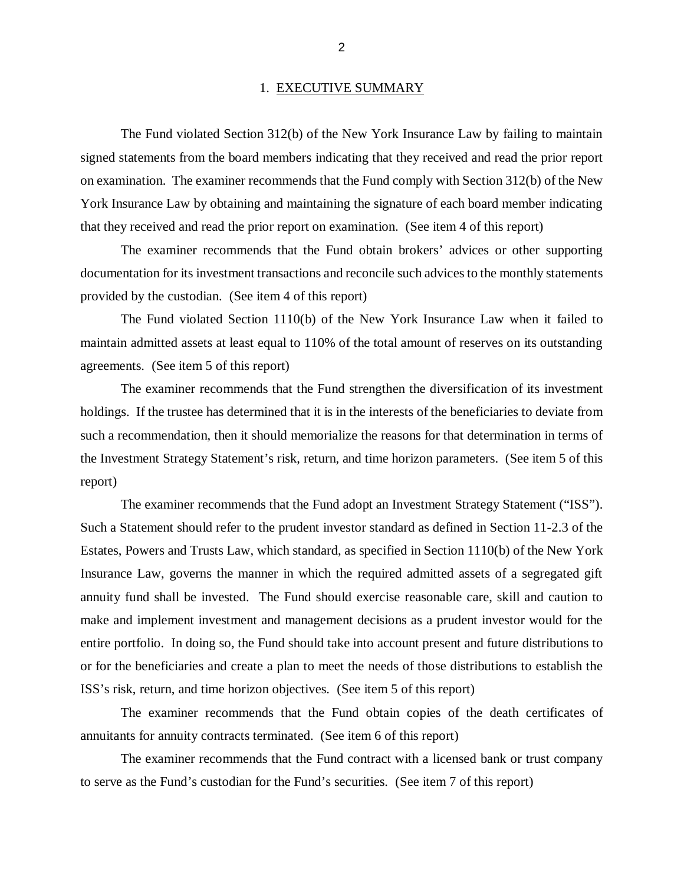#### 1. EXECUTIVE SUMMARY

 The Fund violated Section 312(b) of the New York Insurance Law by failing to maintain signed statements from the board members indicating that they received and read the prior report on examination. The examiner recommends that the Fund comply with Section 312(b) of the New York Insurance Law by obtaining and maintaining the signature of each board member indicating that they received and read the prior report on examination. (See item 4 of this report)

 The examiner recommends that the Fund obtain brokers' advices or other supporting documentation for its investment transactions and reconcile such advices to the monthly statements provided by the custodian. (See item 4 of this report)

 The Fund violated Section 1110(b) of the New York Insurance Law when it failed to maintain admitted assets at least equal to 110% of the total amount of reserves on its outstanding agreements. (See item 5 of this report)

 The examiner recommends that the Fund strengthen the diversification of its investment holdings. If the trustee has determined that it is in the interests of the beneficiaries to deviate from such a recommendation, then it should memorialize the reasons for that determination in terms of the Investment Strategy Statement's risk, return, and time horizon parameters. (See item 5 of this report)

 The examiner recommends that the Fund adopt an Investment Strategy Statement ("ISS"). Such a Statement should refer to the prudent investor standard as defined in Section 11-2.3 of the Estates, Powers and Trusts Law, which standard, as specified in Section 1110(b) of the New York Insurance Law, governs the manner in which the required admitted assets of a segregated gift annuity fund shall be invested. The Fund should exercise reasonable care, skill and caution to make and implement investment and management decisions as a prudent investor would for the entire portfolio. In doing so, the Fund should take into account present and future distributions to or for the beneficiaries and create a plan to meet the needs of those distributions to establish the ISS's risk, return, and time horizon objectives. (See item 5 of this report)

 The examiner recommends that the Fund obtain copies of the death certificates of annuitants for annuity contracts terminated. (See item 6 of this report)

 The examiner recommends that the Fund contract with a licensed bank or trust company to serve as the Fund's custodian for the Fund's securities. (See item 7 of this report)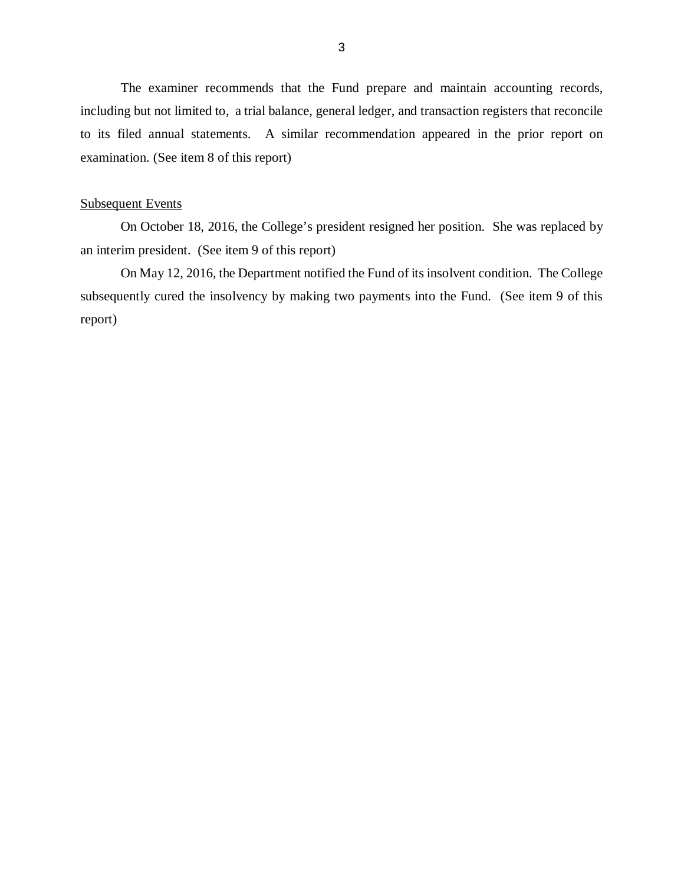The examiner recommends that the Fund prepare and maintain accounting records, including but not limited to, a trial balance, general ledger, and transaction registers that reconcile to its filed annual statements. A similar recommendation appeared in the prior report on examination. (See item 8 of this report)

#### **Subsequent Events**

 an interim president. (See item 9 of this report) On October 18, 2016, the College's president resigned her position. She was replaced by

 subsequently cured the insolvency by making two payments into the Fund. (See item 9 of this On May 12, 2016, the Department notified the Fund of its insolvent condition. The College report)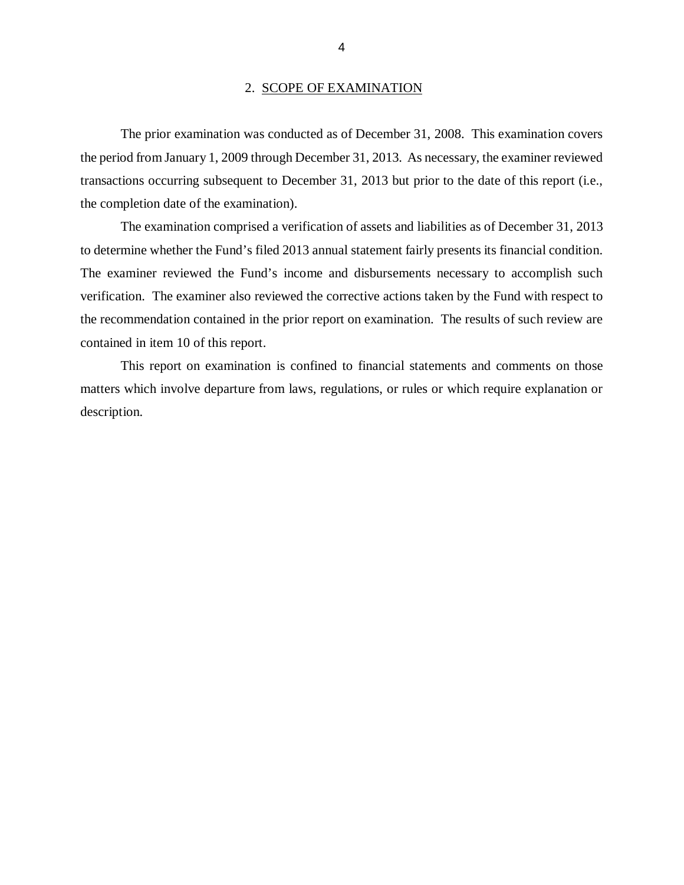#### 2. SCOPE OF EXAMINATION

 the period from January 1, 2009 through December 31, 2013. As necessary, the examiner reviewed transactions occurring subsequent to December 31, 2013 but prior to the date of this report (i.e., the completion date of the examination). The prior examination was conducted as of December 31, 2008. This examination covers

 to determine whether the Fund's filed 2013 annual statement fairly presents its financial condition. The examiner reviewed the Fund's income and disbursements necessary to accomplish such verification. The examiner also reviewed the corrective actions taken by the Fund with respect to the recommendation contained in the prior report on examination. The results of such review are contained in item 10 of this report. The examination comprised a verification of assets and liabilities as of December 31, 2013

 matters which involve departure from laws, regulations, or rules or which require explanation or This report on examination is confined to financial statements and comments on those description.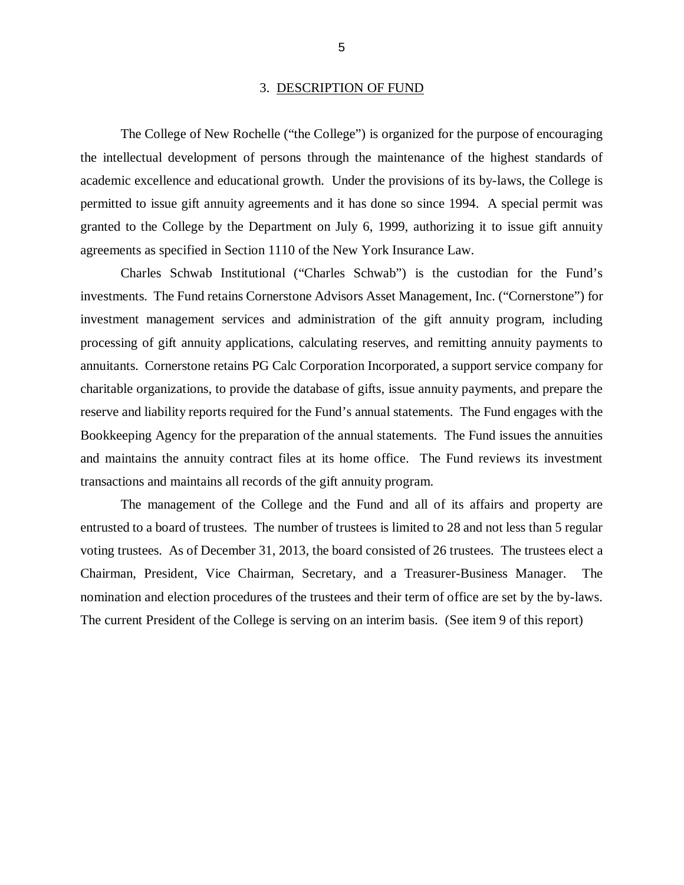#### 3. DESCRIPTION OF FUND

 The College of New Rochelle ("the College") is organized for the purpose of encouraging the intellectual development of persons through the maintenance of the highest standards of academic excellence and educational growth. Under the provisions of its by-laws, the College is permitted to issue gift annuity agreements and it has done so since 1994. A special permit was granted to the College by the Department on July 6, 1999, authorizing it to issue gift annuity agreements as specified in Section 1110 of the New York Insurance Law.

 Charles Schwab Institutional ("Charles Schwab") is the custodian for the Fund's investments. The Fund retains Cornerstone Advisors Asset Management, Inc. ("Cornerstone") for investment management services and administration of the gift annuity program, including processing of gift annuity applications, calculating reserves, and remitting annuity payments to annuitants. Cornerstone retains PG Calc Corporation Incorporated, a support service company for charitable organizations, to provide the database of gifts, issue annuity payments, and prepare the reserve and liability reports required for the Fund's annual statements. The Fund engages with the Bookkeeping Agency for the preparation of the annual statements. The Fund issues the annuities and maintains the annuity contract files at its home office. The Fund reviews its investment transactions and maintains all records of the gift annuity program.

 The management of the College and the Fund and all of its affairs and property are entrusted to a board of trustees. The number of trustees is limited to 28 and not less than 5 regular voting trustees. As of December 31, 2013, the board consisted of 26 trustees. The trustees elect a Chairman, President, Vice Chairman, Secretary, and a Treasurer-Business Manager. The nomination and election procedures of the trustees and their term of office are set by the by-laws. The current President of the College is serving on an interim basis. (See item 9 of this report)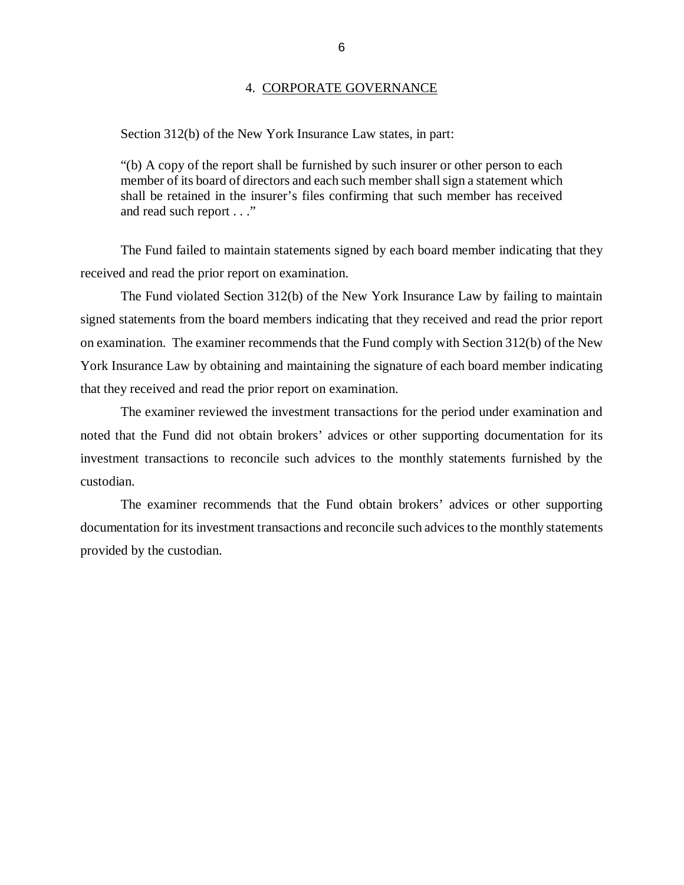#### 4. CORPORATE GOVERNANCE

#### <span id="page-8-0"></span>Section 312(b) of the New York Insurance Law states, in part:

 "(b) A copy of the report shall be furnished by such insurer or other person to each member of its board of directors and each such member shall sign a statement which shall be retained in the insurer's files confirming that such member has received and read such report . . ."

 The Fund failed to maintain statements signed by each board member indicating that they received and read the prior report on examination.

 The Fund violated Section 312(b) of the New York Insurance Law by failing to maintain signed statements from the board members indicating that they received and read the prior report on examination. The examiner recommends that the Fund comply with Section 312(b) of the New York Insurance Law by obtaining and maintaining the signature of each board member indicating that they received and read the prior report on examination.

 The examiner reviewed the investment transactions for the period under examination and noted that the Fund did not obtain brokers' advices or other supporting documentation for its investment transactions to reconcile such advices to the monthly statements furnished by the custodian.

 documentation for its investment transactions and reconcile such advices to the monthly statements provided by the custodian. The examiner recommends that the Fund obtain brokers' advices or other supporting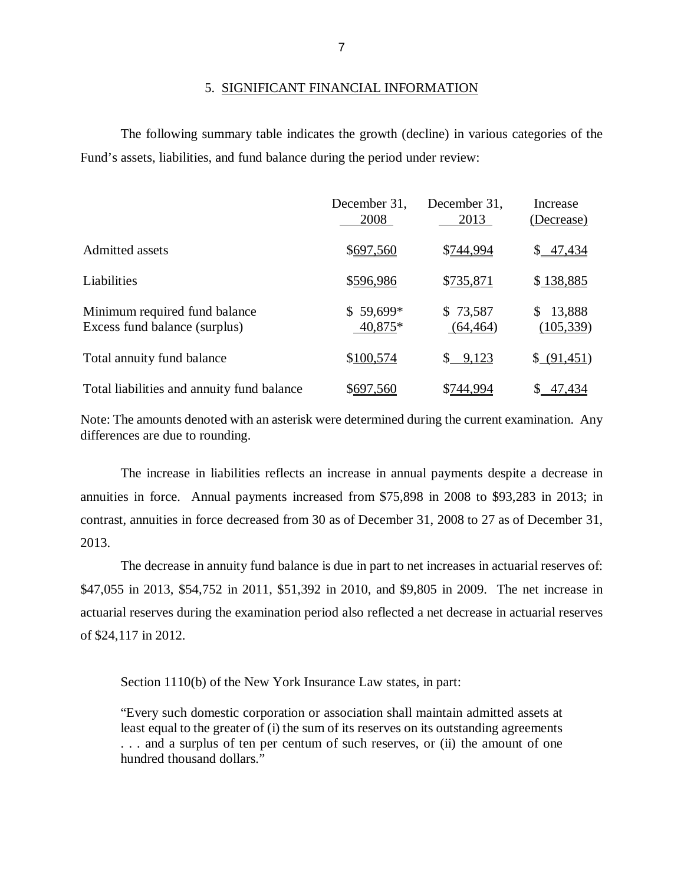Fund's assets, liabilities, and fund balance during the period under review: The following summary table indicates the growth (decline) in various categories of the

|                                                                | December 31,<br>2008  | December 31,<br>2013  | Increase<br>(Decrease)     |
|----------------------------------------------------------------|-----------------------|-----------------------|----------------------------|
| Admitted assets                                                | \$697,560             | \$744,994             | \$47,434                   |
| Liabilities                                                    | \$596,986             | \$735,871             | \$138,885                  |
| Minimum required fund balance<br>Excess fund balance (surplus) | $$59,699*$<br>40,875* | \$73,587<br>(64, 464) | 13,888<br>\$<br>(105, 339) |
| Total annuity fund balance                                     | \$100,574             | \$9,123               | \$ (91,451)                |
| Total liabilities and annuity fund balance                     | \$697,560             | \$744.994             | \$.<br>47,434              |

 Note: The amounts denoted with an asterisk were determined during the current examination. Any differences are due to rounding.

 The increase in liabilities reflects an increase in annual payments despite a decrease in annuities in force. Annual payments increased from \$75,898 in 2008 to \$93,283 in 2013; in contrast, annuities in force decreased from 30 as of December 31, 2008 to 27 as of December 31, 2013.

 The decrease in annuity fund balance is due in part to net increases in actuarial reserves of: \$47,055 in 2013, \$54,752 in 2011, \$51,392 in 2010, and \$9,805 in 2009. The net increase in actuarial reserves during the examination period also reflected a net decrease in actuarial reserves of \$24,117 in 2012.

Section 1110(b) of the New York Insurance Law states, in part:

 "Every such domestic corporation or association shall maintain admitted assets at least equal to the greater of (i) the sum of its reserves on its outstanding agreements . . . and a surplus of ten per centum of such reserves, or (ii) the amount of one hundred thousand dollars."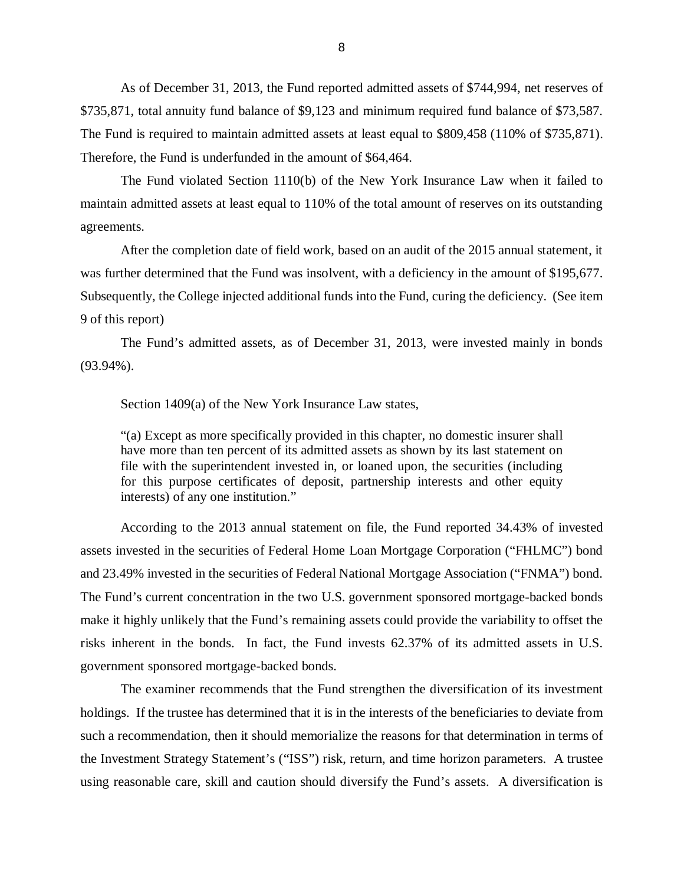As of December 31, 2013, the Fund reported admitted assets of \$744,994, net reserves of \$735,871, total annuity fund balance of \$9,123 and minimum required fund balance of \$73,587. The Fund is required to maintain admitted assets at least equal to \$809,458 (110% of \$735,871). Therefore, the Fund is underfunded in the amount of \$64,464.

 The Fund violated Section 1110(b) of the New York Insurance Law when it failed to maintain admitted assets at least equal to 110% of the total amount of reserves on its outstanding agreements.

 After the completion date of field work, based on an audit of the 2015 annual statement, it was further determined that the Fund was insolvent, with a deficiency in the amount of \$195,677. Subsequently, the College injected additional funds into the Fund, curing the deficiency. (See item 9 of this report)

 The Fund's admitted assets, as of December 31, 2013, were invested mainly in bonds (93.94%).

Section 1409(a) of the New York Insurance Law states,

 "(a) Except as more specifically provided in this chapter, no domestic insurer shall have more than ten percent of its admitted assets as shown by its last statement on file with the superintendent invested in, or loaned upon, the securities (including for this purpose certificates of deposit, partnership interests and other equity interests) of any one institution."

 According to the 2013 annual statement on file, the Fund reported 34.43% of invested assets invested in the securities of Federal Home Loan Mortgage Corporation ("FHLMC") bond and 23.49% invested in the securities of Federal National Mortgage Association ("FNMA") bond. The Fund's current concentration in the two U.S. government sponsored mortgage-backed bonds make it highly unlikely that the Fund's remaining assets could provide the variability to offset the risks inherent in the bonds. In fact, the Fund invests 62.37% of its admitted assets in U.S. government sponsored mortgage-backed bonds.

 The examiner recommends that the Fund strengthen the diversification of its investment holdings. If the trustee has determined that it is in the interests of the beneficiaries to deviate from such a recommendation, then it should memorialize the reasons for that determination in terms of the Investment Strategy Statement's ("ISS") risk, return, and time horizon parameters. A trustee using reasonable care, skill and caution should diversify the Fund's assets. A diversification is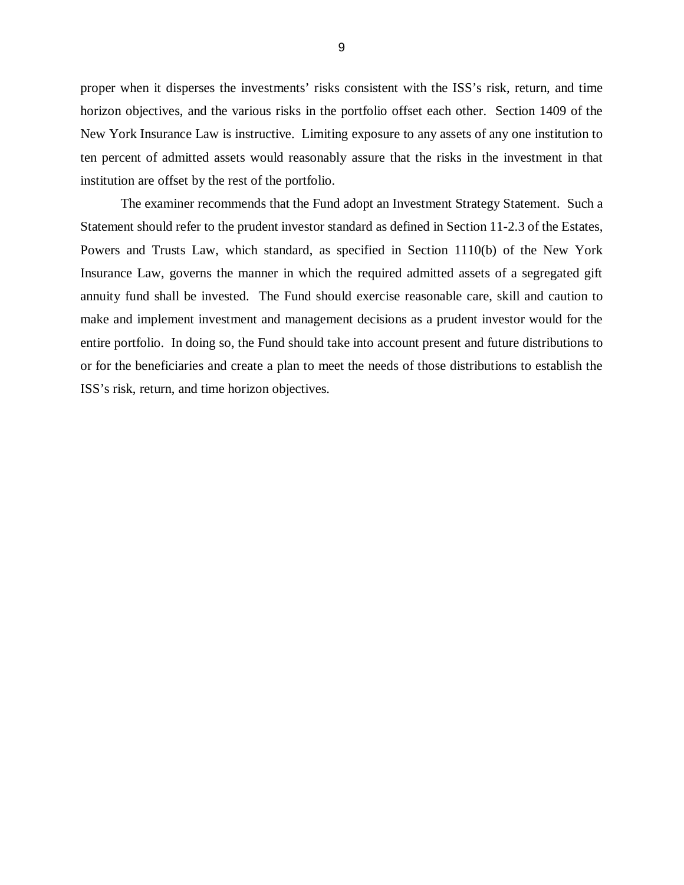proper when it disperses the investments' risks consistent with the ISS's risk, return, and time horizon objectives, and the various risks in the portfolio offset each other. Section 1409 of the New York Insurance Law is instructive. Limiting exposure to any assets of any one institution to ten percent of admitted assets would reasonably assure that the risks in the investment in that institution are offset by the rest of the portfolio.

 The examiner recommends that the Fund adopt an Investment Strategy Statement. Such a Statement should refer to the prudent investor standard as defined in Section 11-2.3 of the Estates, Powers and Trusts Law, which standard, as specified in Section 1110(b) of the New York Insurance Law, governs the manner in which the required admitted assets of a segregated gift annuity fund shall be invested. The Fund should exercise reasonable care, skill and caution to make and implement investment and management decisions as a prudent investor would for the entire portfolio. In doing so, the Fund should take into account present and future distributions to or for the beneficiaries and create a plan to meet the needs of those distributions to establish the ISS's risk, return, and time horizon objectives.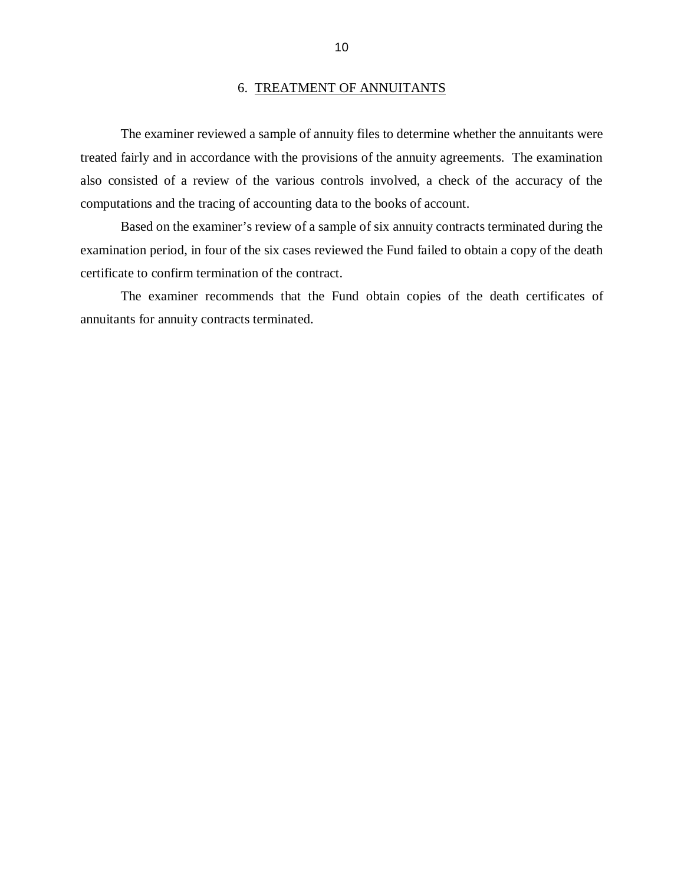#### 6. TREATMENT OF ANNUITANTS

<span id="page-12-0"></span> The examiner reviewed a sample of annuity files to determine whether the annuitants were treated fairly and in accordance with the provisions of the annuity agreements. The examination also consisted of a review of the various controls involved, a check of the accuracy of the computations and the tracing of accounting data to the books of account.

 Based on the examiner's review of a sample of six annuity contracts terminated during the examination period, in four of the six cases reviewed the Fund failed to obtain a copy of the death certificate to confirm termination of the contract.

 The examiner recommends that the Fund obtain copies of the death certificates of annuitants for annuity contracts terminated.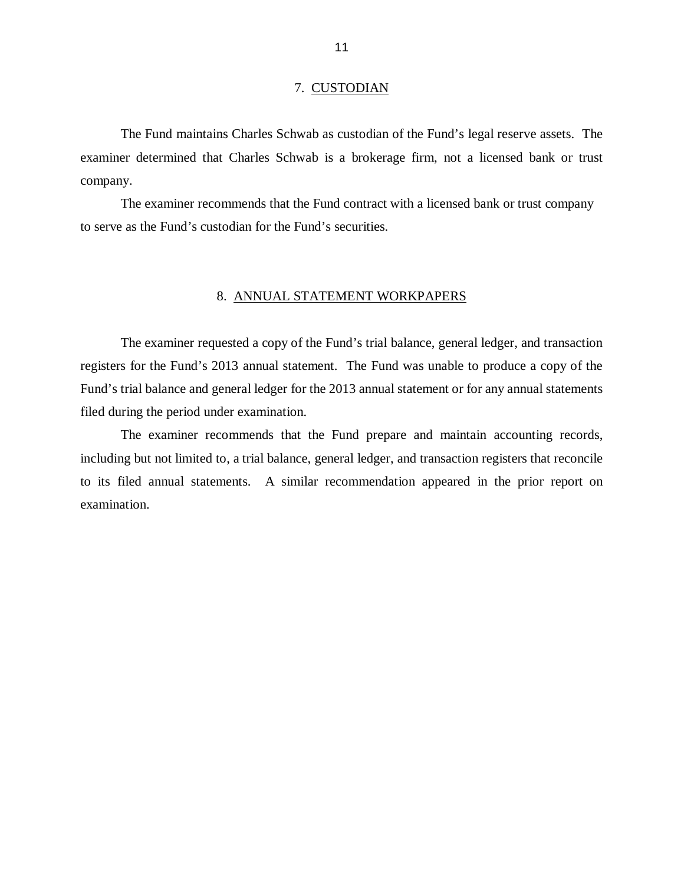#### 7. CUSTODIAN

<span id="page-13-0"></span> examiner determined that Charles Schwab is a brokerage firm, not a licensed bank or trust The Fund maintains Charles Schwab as custodian of the Fund's legal reserve assets. The company.

 to serve as the Fund's custodian for the Fund's securities. The examiner recommends that the Fund contract with a licensed bank or trust company

#### 8. ANNUAL STATEMENT WORKPAPERS

 registers for the Fund's 2013 annual statement. The Fund was unable to produce a copy of the Fund's trial balance and general ledger for the 2013 annual statement or for any annual statements The examiner requested a copy of the Fund's trial balance, general ledger, and transaction filed during the period under examination.

 The examiner recommends that the Fund prepare and maintain accounting records, including but not limited to, a trial balance, general ledger, and transaction registers that reconcile to its filed annual statements. A similar recommendation appeared in the prior report on examination.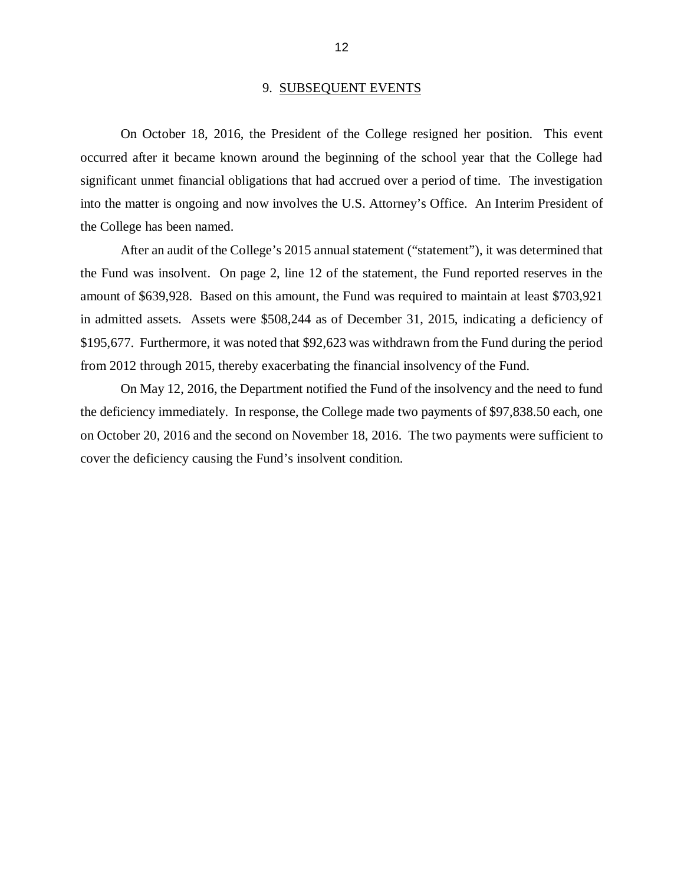#### 9. <u>SUBSEQUENT EVENTS</u>

<span id="page-14-0"></span> occurred after it became known around the beginning of the school year that the College had significant unmet financial obligations that had accrued over a period of time. The investigation into the matter is ongoing and now involves the U.S. Attorney's Office. An Interim President of the College has been named. On October 18, 2016, the President of the College resigned her position. This event

 the Fund was insolvent. On page 2, line 12 of the statement, the Fund reported reserves in the amount of \$639,928. Based on this amount, the Fund was required to maintain at least \$703,921 in admitted assets. Assets were \$508,244 as of December 31, 2015, indicating a deficiency of \$195,677. Furthermore, it was noted that \$92,623 was withdrawn from the Fund during the period from 2012 through 2015, thereby exacerbating the financial insolvency of the Fund. After an audit of the College's 2015 annual statement ("statement"), it was determined that

 the deficiency immediately. In response, the College made two payments of [\\$97,838.50](https://97,838.50) each, one on October 20, 2016 and the second on November 18, 2016. The two payments were sufficient to cover the deficiency causing the Fund's insolvent condition. On May 12, 2016, the Department notified the Fund of the insolvency and the need to fund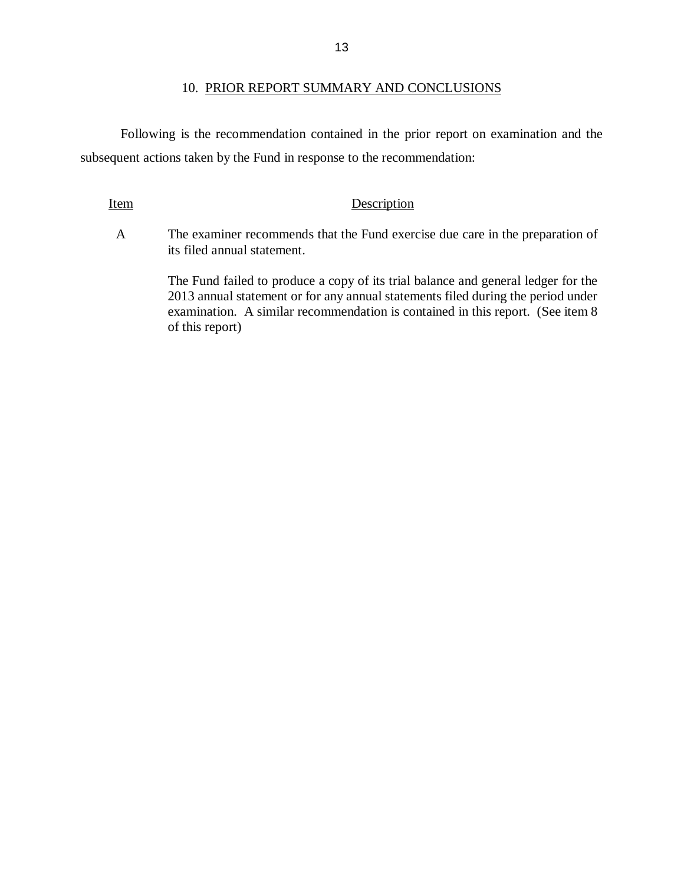#### 10. PRIOR REPORT SUMMARY AND CONCLUSIONS

 Following is the recommendation contained in the prior report on examination and the subsequent actions taken by the Fund in response to the recommendation:

#### Item Description

 $\mathbf{A}$  its filed annual statement. The examiner recommends that the Fund exercise due care in the preparation of

> The Fund failed to produce a copy of its trial balance and general ledger for the 2013 annual statement or for any annual statements filed during the period under examination. A similar recommendation is contained in this report. (See item 8 of this report)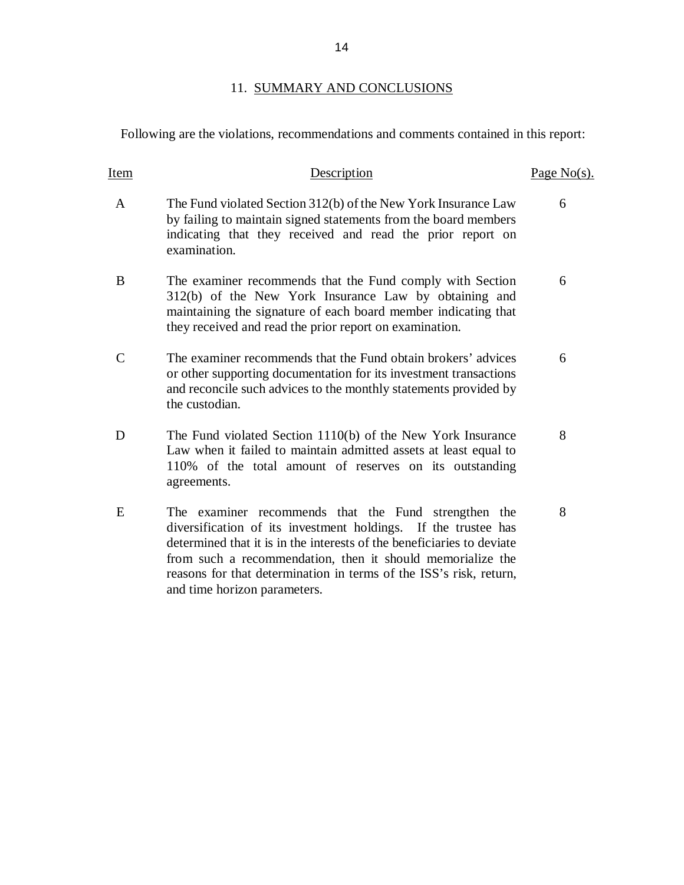#### 11. SUMMARY AND CONCLUSIONS

Following are the violations, recommendations and comments contained in this report:

| <u>Item</u>  | Description                                                                                                                                                                                                                                                    | Page $No(s)$ . |
|--------------|----------------------------------------------------------------------------------------------------------------------------------------------------------------------------------------------------------------------------------------------------------------|----------------|
| A            | The Fund violated Section 312(b) of the New York Insurance Law<br>by failing to maintain signed statements from the board members<br>indicating that they received and read the prior report on<br>examination.                                                | 6              |
| B            | The examiner recommends that the Fund comply with Section<br>312(b) of the New York Insurance Law by obtaining and<br>maintaining the signature of each board member indicating that<br>they received and read the prior report on examination.                | 6              |
| $\mathsf{C}$ | The examiner recommends that the Fund obtain brokers' advices<br>or other supporting documentation for its investment transactions<br>and reconcile such advices to the monthly statements provided by<br>the custodian.                                       | 6              |
| D            | The Fund violated Section 1110(b) of the New York Insurance<br>Law when it failed to maintain admitted assets at least equal to<br>110% of the total amount of reserves on its outstanding<br>agreements.                                                      | 8              |
| E            | The examiner recommends that the Fund strengthen the<br>diversification of its investment holdings. If the trustee has<br>determined that it is in the interests of the beneficiaries to deviate<br>from such a recommendation, then it should memorialize the | 8              |

reasons for that determination in terms of the ISS's risk, return,

and time horizon parameters.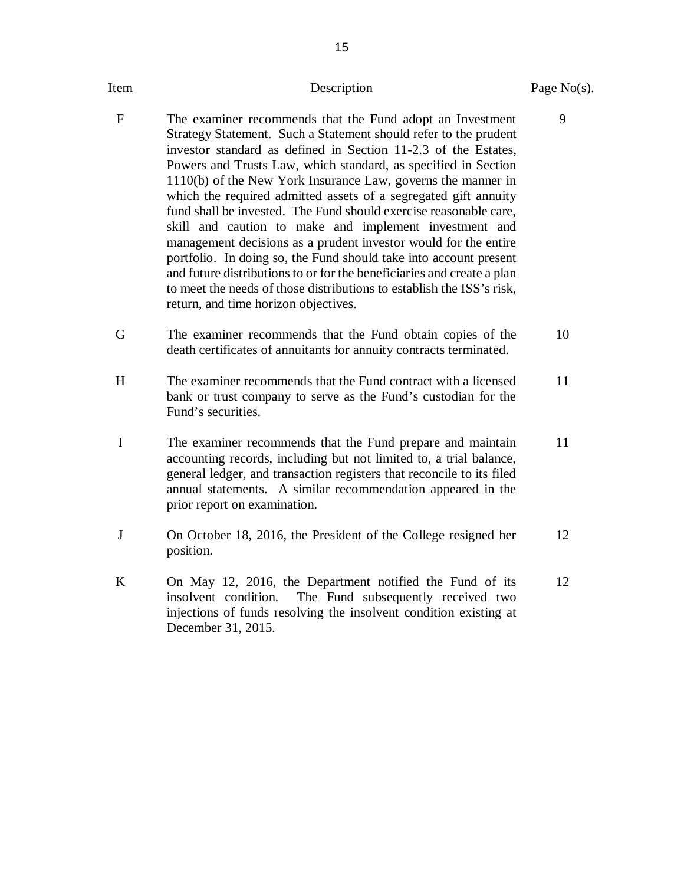#### Item Description Description Page No(s).

15

9

- $F$  Strategy Statement. Such a Statement should refer to the prudent investor standard as defined in Section 11-2.3 of the Estates, Powers and Trusts Law, which standard, as specified in Section 1110(b) of the New York Insurance Law, governs the manner in which the required admitted assets of a segregated gift annuity fund shall be invested. The Fund should exercise reasonable care, skill and caution to make and implement investment and management decisions as a prudent investor would for the entire portfolio. In doing so, the Fund should take into account present and future distributions to or for the beneficiaries and create a plan to meet the needs of those distributions to establish the ISS's risk, return, and time horizon objectives. The examiner recommends that the Fund adopt an Investment
- G death certificates of annuitants for annuity contracts terminated. The examiner recommends that the Fund obtain copies of the 10
- $H$  bank or trust company to serve as the Fund's custodian for the Fund's securities. The examiner recommends that the Fund contract with a licensed 11
- $\mathbf{I}$  accounting records, including but not limited to, a trial balance, general ledger, and transaction registers that reconcile to its filed annual statements. A similar recommendation appeared in the prior report on examination. The examiner recommends that the Fund prepare and maintain 11
- $J$ On October 18, 2016, the President of the College resigned her position. 12
- $\mathbf{K}$ insolvent condition. injections of funds resolving the insolvent condition existing at December 31, 2015. On May 12, 2016, the Department notified the Fund of its The Fund subsequently received two 12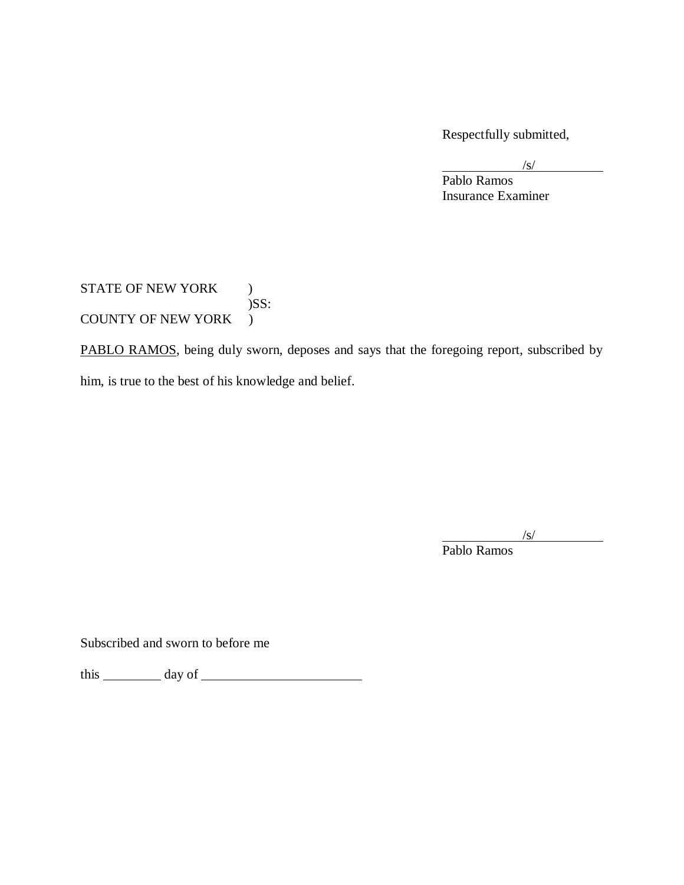Respectfully submitted,

 $\sqrt{s}$ /

 Insurance Examiner Pablo Ramos

STATE OF NEW YORK ) COUNTY OF NEW YORK )  $)$ SS:

PABLO RAMOS, being duly sworn, deposes and says that the foregoing report, subscribed by him, is true to the best of his knowledge and belief.

 $\sqrt{s/}$ 

Pablo Ramos

Subscribed and sworn to before me

this day of